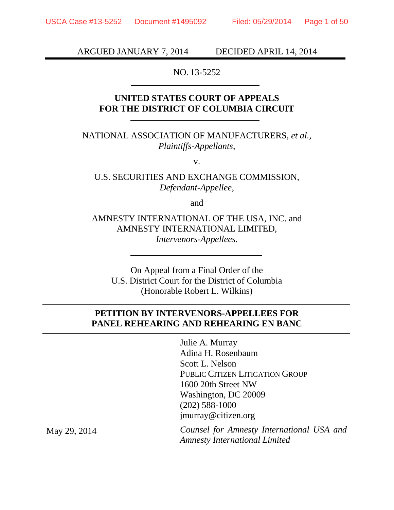ARGUED JANUARY 7, 2014 DECIDED APRIL 14, 2014

NO. 13-5252

### **UNITED STATES COURT OF APPEALS FOR THE DISTRICT OF COLUMBIA CIRCUIT**

NATIONAL ASSOCIATION OF MANUFACTURERS, *et al.*, *Plaintiffs-Appellants*,

v.

U.S. SECURITIES AND EXCHANGE COMMISSION, *Defendant-Appellee*,

and

AMNESTY INTERNATIONAL OF THE USA, INC. and AMNESTY INTERNATIONAL LIMITED, *Intervenors-Appellees*.

On Appeal from a Final Order of the U.S. District Court for the District of Columbia (Honorable Robert L. Wilkins)

### **PETITION BY INTERVENORS-APPELLEES FOR PANEL REHEARING AND REHEARING EN BANC**

Julie A. Murray Adina H. Rosenbaum Scott L. Nelson PUBLIC CITIZEN LITIGATION GROUP 1600 20th Street NW Washington, DC 20009 (202) 588-1000 jmurray@citizen.org

*Counsel for Amnesty International USA and Amnesty International Limited*

May 29, 2014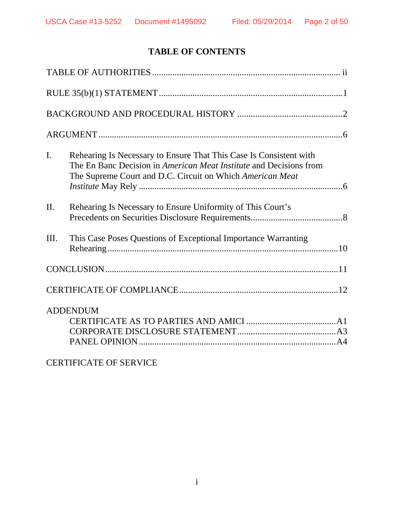# **TABLE OF CONTENTS**

| $\mathbf{I}$ . | Rehearing Is Necessary to Ensure That This Case Is Consistent with<br>The En Banc Decision in American Meat Institute and Decisions from<br>The Supreme Court and D.C. Circuit on Which American Meat |
|----------------|-------------------------------------------------------------------------------------------------------------------------------------------------------------------------------------------------------|
| II.            | Rehearing Is Necessary to Ensure Uniformity of This Court's                                                                                                                                           |
| III.           | This Case Poses Questions of Exceptional Importance Warranting                                                                                                                                        |
|                |                                                                                                                                                                                                       |
|                |                                                                                                                                                                                                       |
|                | <b>ADDENDUM</b>                                                                                                                                                                                       |

# CERTIFICATE OF SERVICE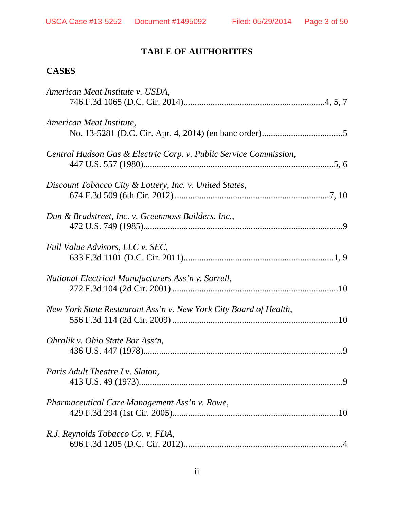# **TABLE OF AUTHORITIES**

## **CASES**

| American Meat Institute v. USDA,                                  |
|-------------------------------------------------------------------|
| American Meat Institute,                                          |
| Central Hudson Gas & Electric Corp. v. Public Service Commission, |
| Discount Tobacco City & Lottery, Inc. v. United States,           |
| Dun & Bradstreet, Inc. v. Greenmoss Builders, Inc.,               |
| Full Value Advisors, LLC v. SEC,                                  |
| National Electrical Manufacturers Ass'n v. Sorrell,               |
| New York State Restaurant Ass'n v. New York City Board of Health, |
| Ohralik v. Ohio State Bar Ass'n,                                  |
| Paris Adult Theatre I v. Slaton,                                  |
| Pharmaceutical Care Management Ass'n v. Rowe,                     |
| R.J. Reynolds Tobacco Co. v. FDA,                                 |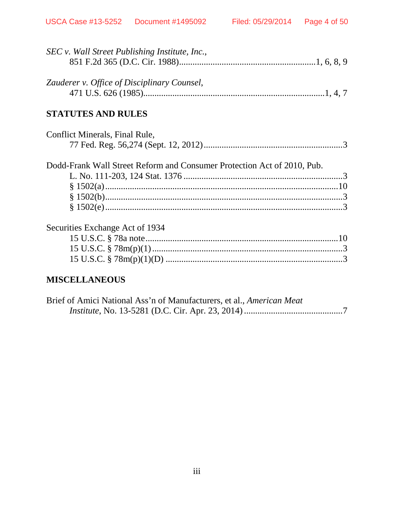| SEC v. Wall Street Publishing Institute, Inc.,                          |  |
|-------------------------------------------------------------------------|--|
|                                                                         |  |
| Zauderer v. Office of Disciplinary Counsel,                             |  |
|                                                                         |  |
| <b>STATUTES AND RULES</b>                                               |  |
| Conflict Minerals, Final Rule,                                          |  |
|                                                                         |  |
| Dodd-Frank Wall Street Reform and Consumer Protection Act of 2010, Pub. |  |
|                                                                         |  |
|                                                                         |  |
|                                                                         |  |
|                                                                         |  |
| Securities Exchange Act of 1934                                         |  |
|                                                                         |  |
|                                                                         |  |
|                                                                         |  |
| INT I ANDAIR                                                            |  |

### **MISCELLANEOUS**

| Brief of Amici National Ass'n of Manufacturers, et al., American Meat |  |
|-----------------------------------------------------------------------|--|
|                                                                       |  |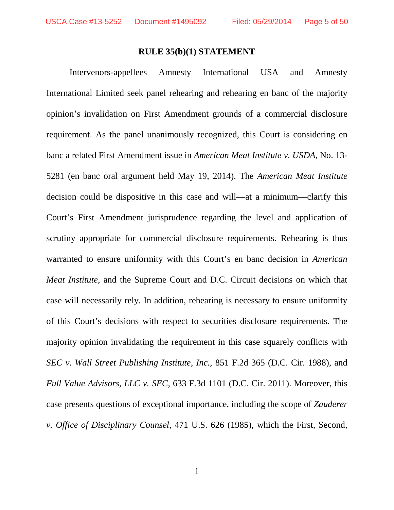#### **RULE 35(b)(1) STATEMENT**

Intervenors-appellees Amnesty International USA and Amnesty International Limited seek panel rehearing and rehearing en banc of the majority opinion's invalidation on First Amendment grounds of a commercial disclosure requirement. As the panel unanimously recognized, this Court is considering en banc a related First Amendment issue in *American Meat Institute v. USDA*, No. 13- 5281 (en banc oral argument held May 19, 2014). The *American Meat Institute* decision could be dispositive in this case and will—at a minimum—clarify this Court's First Amendment jurisprudence regarding the level and application of scrutiny appropriate for commercial disclosure requirements. Rehearing is thus warranted to ensure uniformity with this Court's en banc decision in *American Meat Institute*, and the Supreme Court and D.C. Circuit decisions on which that case will necessarily rely. In addition, rehearing is necessary to ensure uniformity of this Court's decisions with respect to securities disclosure requirements. The majority opinion invalidating the requirement in this case squarely conflicts with *SEC v. Wall Street Publishing Institute, Inc.*, 851 F.2d 365 (D.C. Cir. 1988), and *Full Value Advisors, LLC v. SEC*, 633 F.3d 1101 (D.C. Cir. 2011). Moreover, this case presents questions of exceptional importance, including the scope of *Zauderer v. Office of Disciplinary Counsel*, 471 U.S. 626 (1985), which the First, Second,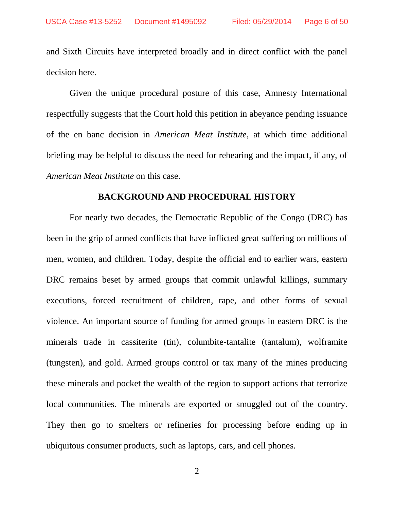and Sixth Circuits have interpreted broadly and in direct conflict with the panel decision here.

Given the unique procedural posture of this case, Amnesty International respectfully suggests that the Court hold this petition in abeyance pending issuance of the en banc decision in *American Meat Institute*, at which time additional briefing may be helpful to discuss the need for rehearing and the impact, if any, of *American Meat Institute* on this case.

#### **BACKGROUND AND PROCEDURAL HISTORY**

For nearly two decades, the Democratic Republic of the Congo (DRC) has been in the grip of armed conflicts that have inflicted great suffering on millions of men, women, and children. Today, despite the official end to earlier wars, eastern DRC remains beset by armed groups that commit unlawful killings, summary executions, forced recruitment of children, rape, and other forms of sexual violence. An important source of funding for armed groups in eastern DRC is the minerals trade in cassiterite (tin), columbite-tantalite (tantalum), wolframite (tungsten), and gold. Armed groups control or tax many of the mines producing these minerals and pocket the wealth of the region to support actions that terrorize local communities. The minerals are exported or smuggled out of the country. They then go to smelters or refineries for processing before ending up in ubiquitous consumer products, such as laptops, cars, and cell phones.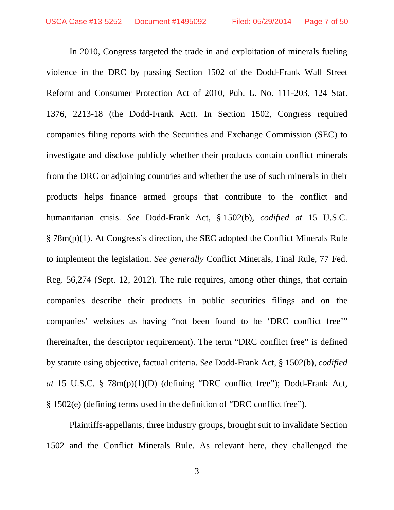In 2010, Congress targeted the trade in and exploitation of minerals fueling violence in the DRC by passing Section 1502 of the Dodd-Frank Wall Street Reform and Consumer Protection Act of 2010, Pub. L. No. 111-203, 124 Stat. 1376, 2213-18 (the Dodd-Frank Act). In Section 1502, Congress required companies filing reports with the Securities and Exchange Commission (SEC) to investigate and disclose publicly whether their products contain conflict minerals from the DRC or adjoining countries and whether the use of such minerals in their products helps finance armed groups that contribute to the conflict and humanitarian crisis. *See* Dodd-Frank Act, § 1502(b), *codified at* 15 U.S.C. § 78m(p)(1). At Congress's direction, the SEC adopted the Conflict Minerals Rule to implement the legislation. *See generally* Conflict Minerals, Final Rule, 77 Fed. Reg. 56,274 (Sept. 12, 2012). The rule requires, among other things, that certain companies describe their products in public securities filings and on the companies' websites as having "not been found to be 'DRC conflict free'" (hereinafter, the descriptor requirement). The term "DRC conflict free" is defined by statute using objective, factual criteria. *See* Dodd-Frank Act, § 1502(b), *codified at* 15 U.S.C. § 78m(p)(1)(D) (defining "DRC conflict free"); Dodd-Frank Act, § 1502(e) (defining terms used in the definition of "DRC conflict free").

Plaintiffs-appellants, three industry groups, brought suit to invalidate Section 1502 and the Conflict Minerals Rule. As relevant here, they challenged the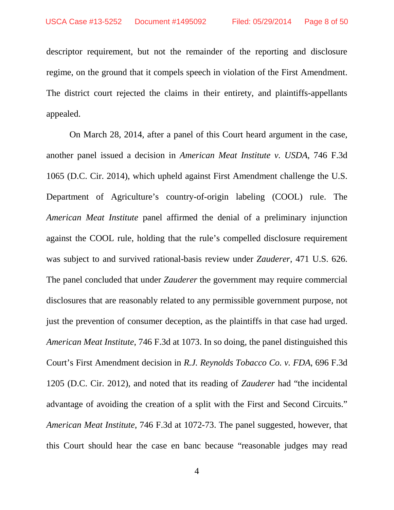descriptor requirement, but not the remainder of the reporting and disclosure regime, on the ground that it compels speech in violation of the First Amendment. The district court rejected the claims in their entirety, and plaintiffs-appellants appealed.

On March 28, 2014, after a panel of this Court heard argument in the case, another panel issued a decision in *American Meat Institute v. USDA*, 746 F.3d 1065 (D.C. Cir. 2014), which upheld against First Amendment challenge the U.S. Department of Agriculture's country-of-origin labeling (COOL) rule. The *American Meat Institute* panel affirmed the denial of a preliminary injunction against the COOL rule, holding that the rule's compelled disclosure requirement was subject to and survived rational-basis review under *Zauderer*, 471 U.S. 626. The panel concluded that under *Zauderer* the government may require commercial disclosures that are reasonably related to any permissible government purpose, not just the prevention of consumer deception, as the plaintiffs in that case had urged. *American Meat Institute*, 746 F.3d at 1073. In so doing, the panel distinguished this Court's First Amendment decision in *R.J. Reynolds Tobacco Co. v. FDA*, 696 F.3d 1205 (D.C. Cir. 2012), and noted that its reading of *Zauderer* had "the incidental advantage of avoiding the creation of a split with the First and Second Circuits." *American Meat Institute*, 746 F.3d at 1072-73. The panel suggested, however, that this Court should hear the case en banc because "reasonable judges may read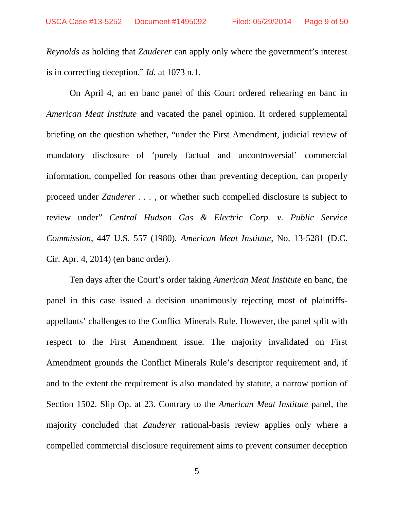*Reynolds* as holding that *Zauderer* can apply only where the government's interest is in correcting deception." *Id.* at 1073 n.1.

On April 4, an en banc panel of this Court ordered rehearing en banc in *American Meat Institute* and vacated the panel opinion. It ordered supplemental briefing on the question whether, "under the First Amendment, judicial review of mandatory disclosure of 'purely factual and uncontroversial' commercial information, compelled for reasons other than preventing deception, can properly proceed under *Zauderer . . .* , or whether such compelled disclosure is subject to review under" *Central Hudson Gas & Electric Corp. v. Public Service Commission*, 447 U.S. 557 (1980)*. American Meat Institute*, No. 13-5281 (D.C. Cir. Apr. 4, 2014) (en banc order).

Ten days after the Court's order taking *American Meat Institute* en banc, the panel in this case issued a decision unanimously rejecting most of plaintiffsappellants' challenges to the Conflict Minerals Rule. However, the panel split with respect to the First Amendment issue. The majority invalidated on First Amendment grounds the Conflict Minerals Rule's descriptor requirement and, if and to the extent the requirement is also mandated by statute, a narrow portion of Section 1502. Slip Op. at 23. Contrary to the *American Meat Institute* panel, the majority concluded that *Zauderer* rational-basis review applies only where a compelled commercial disclosure requirement aims to prevent consumer deception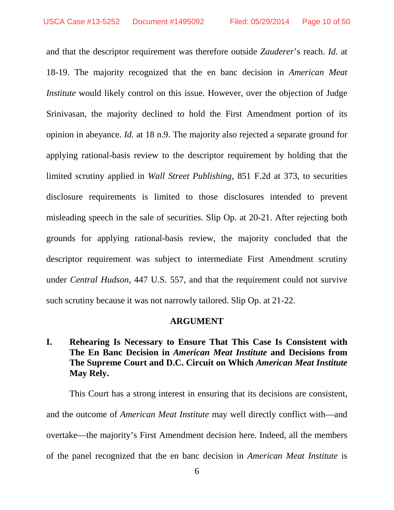and that the descriptor requirement was therefore outside *Zauderer*'s reach. *Id.* at 18-19. The majority recognized that the en banc decision in *American Meat Institute* would likely control on this issue. However, over the objection of Judge Srinivasan, the majority declined to hold the First Amendment portion of its opinion in abeyance. *Id.* at 18 n.9. The majority also rejected a separate ground for applying rational-basis review to the descriptor requirement by holding that the limited scrutiny applied in *Wall Street Publishing*, 851 F.2d at 373, to securities disclosure requirements is limited to those disclosures intended to prevent misleading speech in the sale of securities. Slip Op. at 20-21. After rejecting both grounds for applying rational-basis review, the majority concluded that the descriptor requirement was subject to intermediate First Amendment scrutiny under *Central Hudson*, 447 U.S. 557, and that the requirement could not survive such scrutiny because it was not narrowly tailored. Slip Op. at 21-22.

#### **ARGUMENT**

## **I. Rehearing Is Necessary to Ensure That This Case Is Consistent with The En Banc Decision in** *American Meat Institute* **and Decisions from The Supreme Court and D.C. Circuit on Which** *American Meat Institute* **May Rely.**

This Court has a strong interest in ensuring that its decisions are consistent, and the outcome of *American Meat Institute* may well directly conflict with—and overtake—the majority's First Amendment decision here. Indeed, all the members of the panel recognized that the en banc decision in *American Meat Institute* is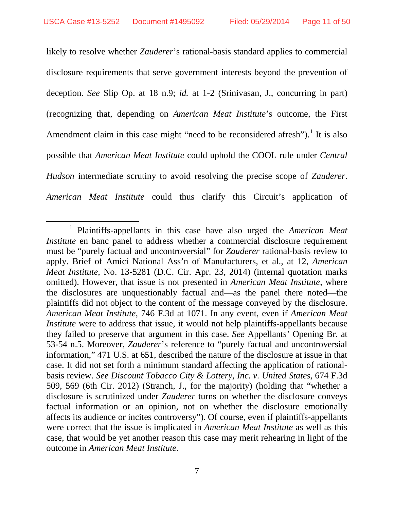likely to resolve whether *Zauderer*'s rational-basis standard applies to commercial disclosure requirements that serve government interests beyond the prevention of deception. *See* Slip Op. at 18 n.9; *id.* at 1-2 (Srinivasan, J., concurring in part) (recognizing that, depending on *American Meat Institute*'s outcome, the First Amendment claim in this case might "need to be reconsidered afresh").<sup>[1](#page-10-0)</sup> It is also possible that *American Meat Institute* could uphold the COOL rule under *Central Hudson* intermediate scrutiny to avoid resolving the precise scope of *Zauderer*. *American Meat Institute* could thus clarify this Circuit's application of

<span id="page-10-0"></span> <sup>1</sup> Plaintiffs-appellants in this case have also urged the *American Meat Institute* en banc panel to address whether a commercial disclosure requirement must be "purely factual and uncontroversial" for *Zauderer* rational-basis review to apply. Brief of Amici National Ass'n of Manufacturers, et al., at 12, *American Meat Institute*, No. 13-5281 (D.C. Cir. Apr. 23, 2014) (internal quotation marks omitted). However, that issue is not presented in *American Meat Institute*, where the disclosures are unquestionably factual and—as the panel there noted—the plaintiffs did not object to the content of the message conveyed by the disclosure. *American Meat Institute*, 746 F.3d at 1071. In any event, even if *American Meat Institute* were to address that issue, it would not help plaintiffs-appellants because they failed to preserve that argument in this case. *See* Appellants' Opening Br. at 53-54 n.5. Moreover, *Zauderer*'s reference to "purely factual and uncontroversial information," 471 U.S. at 651, described the nature of the disclosure at issue in that case. It did not set forth a minimum standard affecting the application of rationalbasis review. *See Discount Tobacco City & Lottery, Inc. v. United States*, 674 F.3d 509, 569 (6th Cir. 2012) (Stranch, J., for the majority) (holding that "whether a disclosure is scrutinized under *Zauderer* turns on whether the disclosure conveys factual information or an opinion, not on whether the disclosure emotionally affects its audience or incites controversy"). Of course, even if plaintiffs-appellants were correct that the issue is implicated in *American Meat Institute* as well as this case, that would be yet another reason this case may merit rehearing in light of the outcome in *American Meat Institute*.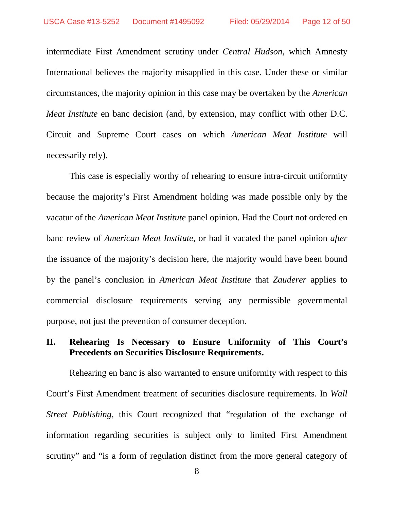intermediate First Amendment scrutiny under *Central Hudson*, which Amnesty International believes the majority misapplied in this case. Under these or similar circumstances, the majority opinion in this case may be overtaken by the *American Meat Institute* en banc decision (and, by extension, may conflict with other D.C. Circuit and Supreme Court cases on which *American Meat Institute* will necessarily rely).

This case is especially worthy of rehearing to ensure intra-circuit uniformity because the majority's First Amendment holding was made possible only by the vacatur of the *American Meat Institute* panel opinion. Had the Court not ordered en banc review of *American Meat Institute*, or had it vacated the panel opinion *after* the issuance of the majority's decision here, the majority would have been bound by the panel's conclusion in *American Meat Institute* that *Zauderer* applies to commercial disclosure requirements serving any permissible governmental purpose, not just the prevention of consumer deception.

## **II. Rehearing Is Necessary to Ensure Uniformity of This Court's Precedents on Securities Disclosure Requirements.**

Rehearing en banc is also warranted to ensure uniformity with respect to this Court's First Amendment treatment of securities disclosure requirements. In *Wall Street Publishing*, this Court recognized that "regulation of the exchange of information regarding securities is subject only to limited First Amendment scrutiny" and "is a form of regulation distinct from the more general category of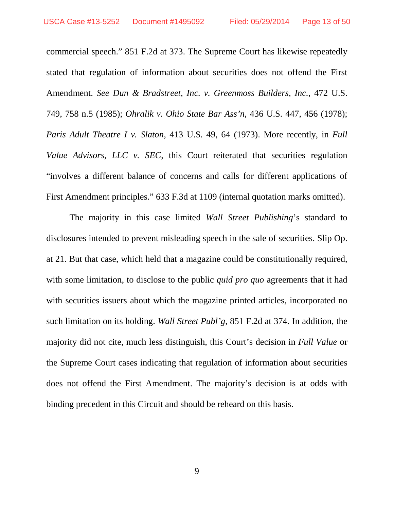commercial speech." 851 F.2d at 373. The Supreme Court has likewise repeatedly stated that regulation of information about securities does not offend the First Amendment. *See Dun & Bradstreet, Inc. v. Greenmoss Builders, Inc.*, 472 U.S. 749, 758 n.5 (1985); *Ohralik v. Ohio State Bar Ass'n*, 436 U.S. 447, 456 (1978); *Paris Adult Theatre I v. Slaton*, 413 U.S. 49, 64 (1973). More recently, in *Full Value Advisors, LLC v. SEC*, this Court reiterated that securities regulation "involves a different balance of concerns and calls for different applications of First Amendment principles." 633 F.3d at 1109 (internal quotation marks omitted).

The majority in this case limited *Wall Street Publishing*'s standard to disclosures intended to prevent misleading speech in the sale of securities. Slip Op. at 21. But that case, which held that a magazine could be constitutionally required, with some limitation, to disclose to the public *quid pro quo* agreements that it had with securities issuers about which the magazine printed articles, incorporated no such limitation on its holding. *Wall Street Publ'g*, 851 F.2d at 374. In addition, the majority did not cite, much less distinguish, this Court's decision in *Full Value* or the Supreme Court cases indicating that regulation of information about securities does not offend the First Amendment. The majority's decision is at odds with binding precedent in this Circuit and should be reheard on this basis.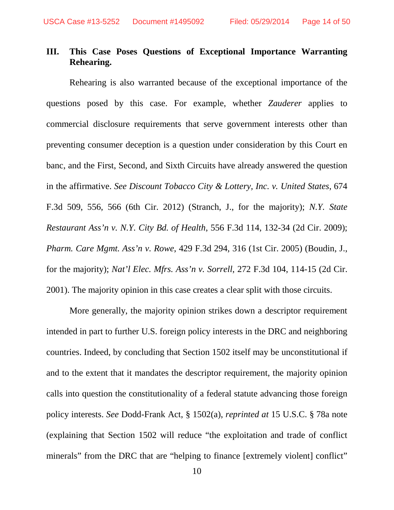## **III. This Case Poses Questions of Exceptional Importance Warranting Rehearing.**

Rehearing is also warranted because of the exceptional importance of the questions posed by this case. For example, whether *Zauderer* applies to commercial disclosure requirements that serve government interests other than preventing consumer deception is a question under consideration by this Court en banc, and the First, Second, and Sixth Circuits have already answered the question in the affirmative. *See Discount Tobacco City & Lottery, Inc. v. United States*, 674 F.3d 509, 556, 566 (6th Cir. 2012) (Stranch, J., for the majority); *N.Y. State Restaurant Ass'n v. N.Y. City Bd. of Health*, 556 F.3d 114, 132-34 (2d Cir. 2009); *Pharm. Care Mgmt. Ass'n v. Rowe*, 429 F.3d 294, 316 (1st Cir. 2005) (Boudin, J., for the majority); *Nat'l Elec. Mfrs. Ass'n v. Sorrell*, 272 F.3d 104, 114-15 (2d Cir. 2001). The majority opinion in this case creates a clear split with those circuits.

More generally, the majority opinion strikes down a descriptor requirement intended in part to further U.S. foreign policy interests in the DRC and neighboring countries. Indeed, by concluding that Section 1502 itself may be unconstitutional if and to the extent that it mandates the descriptor requirement, the majority opinion calls into question the constitutionality of a federal statute advancing those foreign policy interests. *See* Dodd-Frank Act, § 1502(a), *reprinted at* 15 U.S.C. § 78a note (explaining that Section 1502 will reduce "the exploitation and trade of conflict minerals" from the DRC that are "helping to finance [extremely violent] conflict"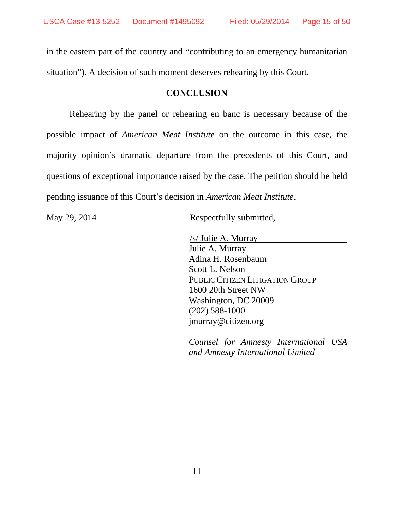in the eastern part of the country and "contributing to an emergency humanitarian situation"). A decision of such moment deserves rehearing by this Court.

### **CONCLUSION**

Rehearing by the panel or rehearing en banc is necessary because of the possible impact of *American Meat Institute* on the outcome in this case, the majority opinion's dramatic departure from the precedents of this Court, and questions of exceptional importance raised by the case. The petition should be held pending issuance of this Court's decision in *American Meat Institute*.

May 29, 2014 Respectfully submitted,

 /s/ Julie A. Murray Julie A. Murray Adina H. Rosenbaum Scott L. Nelson PUBLIC CITIZEN LITIGATION GROUP 1600 20th Street NW Washington, DC 20009 (202) 588-1000 jmurray@citizen.org

*Counsel for Amnesty International USA and Amnesty International Limited*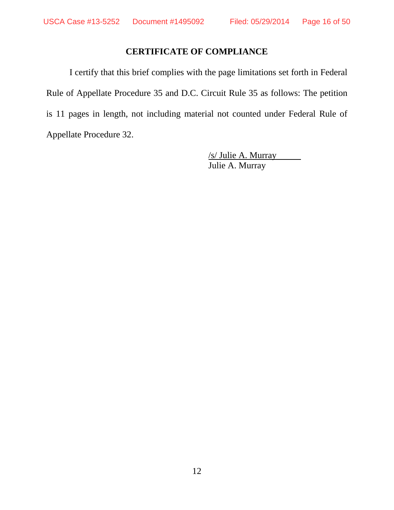## **CERTIFICATE OF COMPLIANCE**

I certify that this brief complies with the page limitations set forth in Federal Rule of Appellate Procedure 35 and D.C. Circuit Rule 35 as follows: The petition is 11 pages in length, not including material not counted under Federal Rule of Appellate Procedure 32.

> /s/ Julie A. Murray Julie A. Murray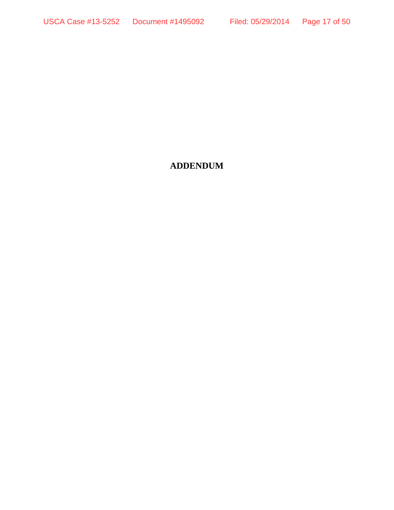## **ADDENDUM**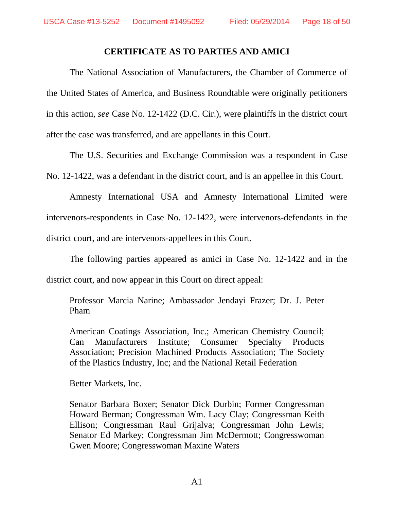### **CERTIFICATE AS TO PARTIES AND AMICI**

The National Association of Manufacturers, the Chamber of Commerce of the United States of America, and Business Roundtable were originally petitioners in this action, *see* Case No. 12-1422 (D.C. Cir.), were plaintiffs in the district court after the case was transferred, and are appellants in this Court.

The U.S. Securities and Exchange Commission was a respondent in Case No. 12-1422, was a defendant in the district court, and is an appellee in this Court.

Amnesty International USA and Amnesty International Limited were intervenors-respondents in Case No. 12-1422, were intervenors-defendants in the district court, and are intervenors-appellees in this Court.

The following parties appeared as amici in Case No. 12-1422 and in the district court, and now appear in this Court on direct appeal:

Professor Marcia Narine; Ambassador Jendayi Frazer; Dr. J. Peter Pham

American Coatings Association, Inc.; American Chemistry Council; Can Manufacturers Institute; Consumer Specialty Products Association; Precision Machined Products Association; The Society of the Plastics Industry, Inc; and the National Retail Federation

Better Markets, Inc.

Senator Barbara Boxer; Senator Dick Durbin; Former Congressman Howard Berman; Congressman Wm. Lacy Clay; Congressman Keith Ellison; Congressman Raul Grijalva; Congressman John Lewis; Senator Ed Markey; Congressman Jim McDermott; Congresswoman Gwen Moore; Congresswoman Maxine Waters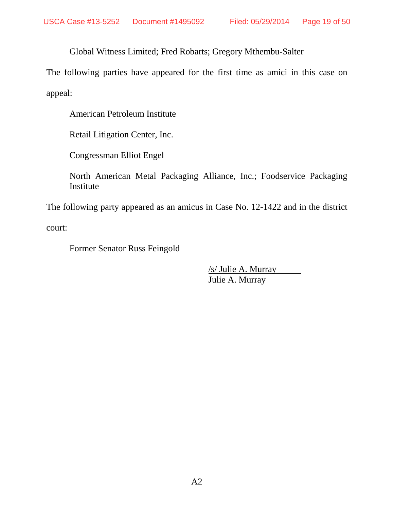Global Witness Limited; Fred Robarts; Gregory Mthembu-Salter

The following parties have appeared for the first time as amici in this case on appeal:

American Petroleum Institute

Retail Litigation Center, Inc.

Congressman Elliot Engel

North American Metal Packaging Alliance, Inc.; Foodservice Packaging Institute

The following party appeared as an amicus in Case No. 12-1422 and in the district

court:

Former Senator Russ Feingold

/s/ Julie A. Murray Julie A. Murray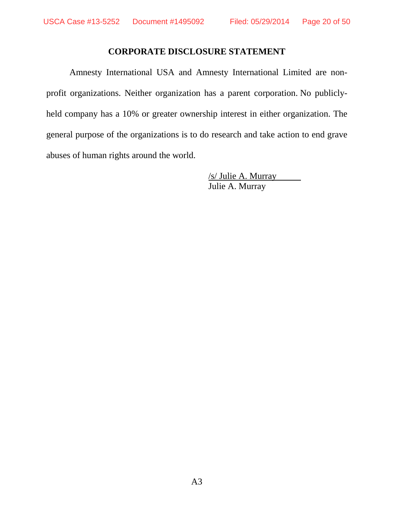### **CORPORATE DISCLOSURE STATEMENT**

Amnesty International USA and Amnesty International Limited are nonprofit organizations. Neither organization has a parent corporation. No publiclyheld company has a 10% or greater ownership interest in either organization. The general purpose of the organizations is to do research and take action to end grave abuses of human rights around the world.

> /s/ Julie A. Murray Julie A. Murray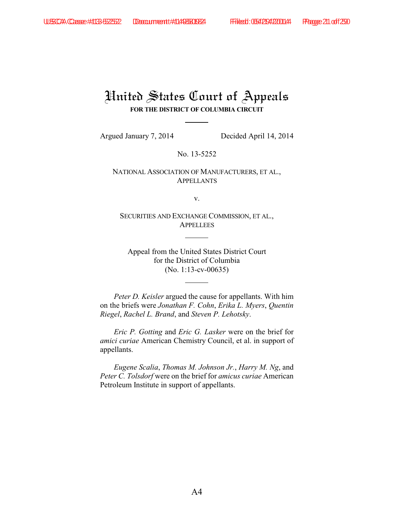# United States Court of Appeals **FOR THE DISTRICT OF COLUMBIA CIRCUIT**

Argued January 7, 2014 Decided April 14, 2014

No. 13-5252

NATIONAL ASSOCIATION OF MANUFACTURERS, ET AL., APPELLANTS

v.

SECURITIES AND EXCHANGE COMMISSION, ET AL., **APPELLEES** 

Appeal from the United States District Court for the District of Columbia (No. 1:13-cv-00635)

*Peter D. Keisler* argued the cause for appellants. With him on the briefs were *Jonathan F. Cohn*, *Erika L. Myers*, *Quentin Riegel*, *Rachel L. Brand*, and *Steven P. Lehotsky*.

*Eric P. Gotting* and *Eric G. Lasker* were on the brief for *amici curiae* American Chemistry Council, et al. in support of appellants.

*Eugene Scalia*, *Thomas M. Johnson Jr.*, *Harry M. Ng*, and *Peter C. Tolsdorf* were on the brief for *amicus curiae* American Petroleum Institute in support of appellants.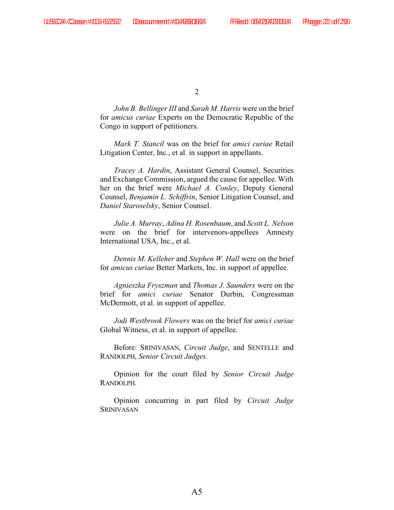*John B. Bellinger III* and *Sarah M. Harris* were on the brief for *amicus curiae* Experts on the Democratic Republic of the Congo in support of petitioners.

*Mark T. Stancil* was on the brief for *amici curiae* Retail Litigation Center, Inc., et al. in support in appellants.

*Tracey A. Hardin*, Assistant General Counsel, Securities and Exchange Commission, argued the cause for appellee. With her on the brief were *Michael A. Conley*, Deputy General Counsel, *Benjamin L. Schiffrin*, Senior Litigation Counsel, and *Daniel Staroselsky*, Senior Counsel.

*Julie A. Murray*, *Adina H. Rosenbaum*, and *Scott L. Nelson* were on the brief for intervenors-appellees Amnesty International USA, Inc., et al.

*Dennis M. Kelleher* and *Stephen W. Hall* were on the brief for *amicus curiae* Better Markets, Inc. in support of appellee.

*Agnieszka Fryszman* and *Thomas J. Saunders* were on the brief for *amici curiae* Senator Durbin, Congressman McDermott, et al. in support of appellee.

*Jodi Westbrook Flowers* was on the brief for *amici curiae* Global Witness, et al. in support of appellee.

Before: SRINIVASAN, *Circuit Judge*, and SENTELLE and RANDOLPH, *Senior Circuit Judges*.

Opinion for the court filed by *Senior Circuit Judge* RANDOLPH.

Opinion concurring in part filed by *Circuit Judge* SRINIVASAN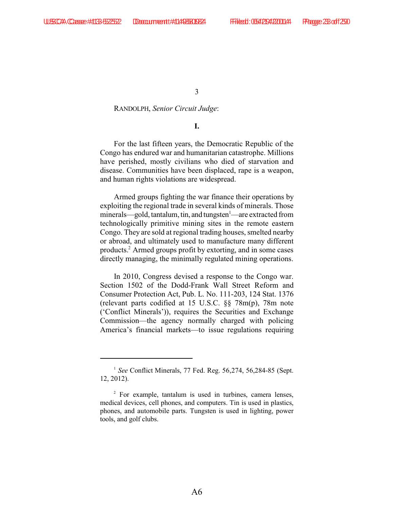#### RANDOLPH, *Senior Circuit Judge*:

#### **I.**

For the last fifteen years, the Democratic Republic of the Congo has endured war and humanitarian catastrophe. Millions have perished, mostly civilians who died of starvation and disease. Communities have been displaced, rape is a weapon, and human rights violations are widespread.

Armed groups fighting the war finance their operations by exploiting the regional trade in several kinds of minerals. Those minerals—gold, tantalum, tin, and tungsten —are extracted from technologically primitive mining sites in the remote eastern Congo. They are sold at regional trading houses, smelted nearby or abroad, and ultimately used to manufacture many different products.<sup>2</sup> Armed groups profit by extorting, and in some cases directly managing, the minimally regulated mining operations.

In 2010, Congress devised a response to the Congo war. Section 1502 of the Dodd-Frank Wall Street Reform and Consumer Protection Act, Pub. L. No. 111-203, 124 Stat. 1376 (relevant parts codified at 15 U.S.C. §§ 78m(p), 78m note ('Conflict Minerals')), requires the Securities and Exchange Commission—the agency normally charged with policing America's financial markets—to issue regulations requiring

<sup>&</sup>lt;sup>1</sup> See Conflict Minerals, 77 Fed. Reg. 56,274, 56,284-85 (Sept. 12, 2012).

<sup>&</sup>lt;sup>2</sup> For example, tantalum is used in turbines, camera lenses, medical devices, cell phones, and computers. Tin is used in plastics, phones, and automobile parts. Tungsten is used in lighting, power tools, and golf clubs.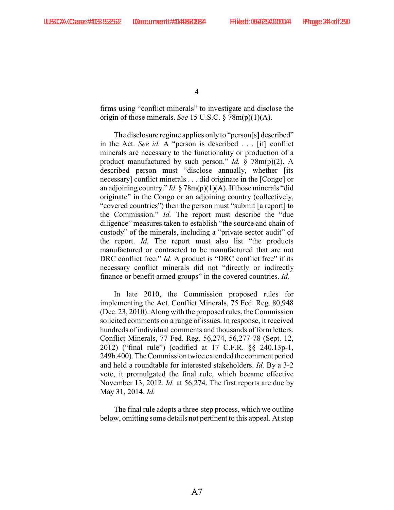firms using "conflict minerals" to investigate and disclose the origin of those minerals. *See* 15 U.S.C. § 78m(p)(1)(A).

The disclosure regime applies only to "person[s] described" in the Act. *See id.* A "person is described . . . [if] conflict minerals are necessary to the functionality or production of a product manufactured by such person." *Id.* § 78m(p)(2). A described person must "disclose annually, whether [its necessary] conflict minerals . . . did originate in the [Congo] or an adjoining country." *Id.* § 78m(p)(1)(A). If those minerals "did originate" in the Congo or an adjoining country (collectively, "covered countries") then the person must "submit [a report] to the Commission." *Id.* The report must describe the "due diligence" measures taken to establish "the source and chain of custody" of the minerals, including a "private sector audit" of the report. *Id.* The report must also list "the products manufactured or contracted to be manufactured that are not DRC conflict free." *Id.* A product is "DRC conflict free" if its necessary conflict minerals did not "directly or indirectly finance or benefit armed groups" in the covered countries. *Id.* 

In late 2010, the Commission proposed rules for implementing the Act. Conflict Minerals, 75 Fed. Reg. 80,948 (Dec. 23, 2010). Along with the proposed rules, the Commission solicited comments on a range of issues. In response, it received hundreds of individual comments and thousands of form letters. Conflict Minerals, 77 Fed. Reg. 56,274, 56,277-78 (Sept. 12, 2012) ("final rule") (codified at 17 C.F.R. §§ 240.13p-1, 249b.400). The Commission twice extended the comment period and held a roundtable for interested stakeholders. *Id.* By a 3-2 vote, it promulgated the final rule, which became effective November 13, 2012. *Id.* at 56,274. The first reports are due by May 31, 2014. *Id.*

The final rule adopts a three-step process, which we outline below, omitting some details not pertinent to this appeal. At step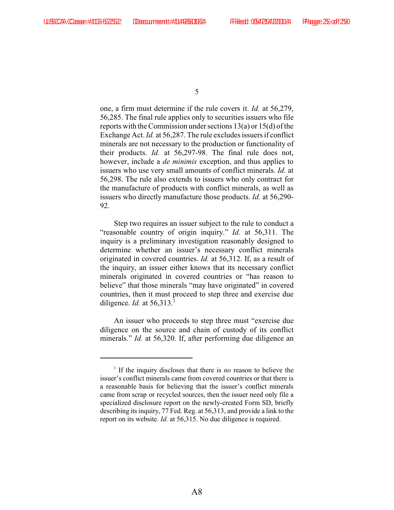one, a firm must determine if the rule covers it. *Id.* at 56,279, 56,285. The final rule applies only to securities issuers who file reports with the Commission under sections 13(a) or 15(d) of the Exchange Act. *Id.* at 56,287. The rule excludes issuers if conflict minerals are not necessary to the production or functionality of their products. *Id.* at 56,297-98. The final rule does not, however, include a *de minimis* exception, and thus applies to issuers who use very small amounts of conflict minerals. *Id.* at 56,298. The rule also extends to issuers who only contract for the manufacture of products with conflict minerals, as well as issuers who directly manufacture those products. *Id.* at 56,290- 92.

Step two requires an issuer subject to the rule to conduct a "reasonable country of origin inquiry." *Id.* at 56,311. The inquiry is a preliminary investigation reasonably designed to determine whether an issuer's necessary conflict minerals originated in covered countries. *Id.* at 56,312. If, as a result of the inquiry, an issuer either knows that its necessary conflict minerals originated in covered countries or "has reason to believe" that those minerals "may have originated" in covered countries, then it must proceed to step three and exercise due diligence. *Id.* at 56,313. <sup>3</sup>

An issuer who proceeds to step three must "exercise due diligence on the source and chain of custody of its conflict minerals." *Id.* at 56,320. If, after performing due diligence an

 $\frac{3}{3}$  If the inquiry discloses that there is *no* reason to believe the issuer's conflict minerals came from covered countries or that there is a reasonable basis for believing that the issuer's conflict minerals came from scrap or recycled sources, then the issuer need only file a specialized disclosure report on the newly-created Form SD, briefly describing its inquiry, 77 Fed. Reg. at 56,313, and provide a link to the report on its website. *Id.* at 56,315. No due diligence is required.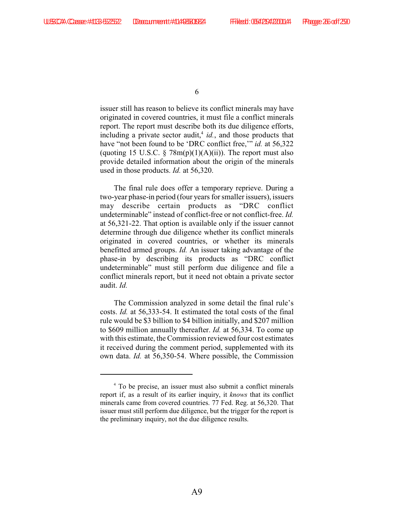issuer still has reason to believe its conflict minerals may have originated in covered countries, it must file a conflict minerals report. The report must describe both its due diligence efforts, including a private sector audit,  $id$ , and those products that have "not been found to be 'DRC conflict free,'" *id.* at 56,322 (quoting 15 U.S.C.  $\S$  78m(p)(1)(A)(ii)). The report must also provide detailed information about the origin of the minerals used in those products. *Id.* at 56,320.

The final rule does offer a temporary reprieve. During a two-year phase-in period (four years for smaller issuers), issuers may describe certain products as "DRC conflict undeterminable" instead of conflict-free or not conflict-free. *Id.* at 56,321-22. That option is available only if the issuer cannot determine through due diligence whether its conflict minerals originated in covered countries, or whether its minerals benefitted armed groups. *Id.* An issuer taking advantage of the phase-in by describing its products as "DRC conflict undeterminable" must still perform due diligence and file a conflict minerals report, but it need not obtain a private sector audit. *Id.*

The Commission analyzed in some detail the final rule's costs. *Id.* at 56,333-54. It estimated the total costs of the final rule would be \$3 billion to \$4 billion initially, and \$207 million to \$609 million annually thereafter. *Id.* at 56,334. To come up with this estimate, the Commission reviewed four cost estimates it received during the comment period, supplemented with its own data. *Id.* at 56,350-54. Where possible, the Commission

To be precise, an issuer must also submit a conflict minerals <sup>4</sup> report if, as a result of its earlier inquiry, it *knows* that its conflict minerals came from covered countries. 77 Fed. Reg. at 56,320. That issuer must still perform due diligence, but the trigger for the report is the preliminary inquiry, not the due diligence results.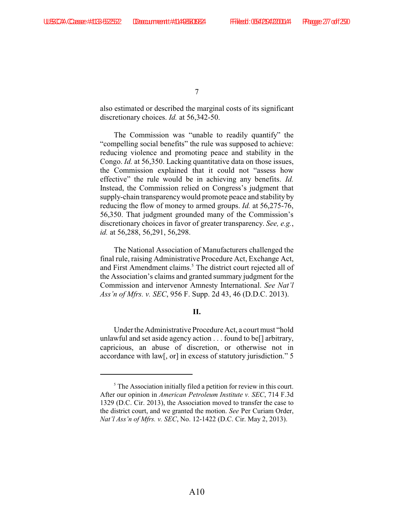also estimated or described the marginal costs of its significant discretionary choices. *Id.* at 56,342-50.

The Commission was "unable to readily quantify" the "compelling social benefits" the rule was supposed to achieve: reducing violence and promoting peace and stability in the Congo. *Id.* at 56,350. Lacking quantitative data on those issues, the Commission explained that it could not "assess how effective" the rule would be in achieving any benefits. *Id.* Instead, the Commission relied on Congress's judgment that supply-chain transparency would promote peace and stability by reducing the flow of money to armed groups. *Id.* at 56,275-76, 56,350. That judgment grounded many of the Commission's discretionary choices in favor of greater transparency. *See, e.g.*, *id.* at 56,288, 56,291, 56,298.

The National Association of Manufacturers challenged the final rule, raising Administrative Procedure Act, Exchange Act, and First Amendment claims.<sup>5</sup> The district court rejected all of the Association's claims and granted summary judgment for the Commission and intervenor Amnesty International. *See Nat'l Ass'n of Mfrs. v. SEC*, 956 F. Supp. 2d 43, 46 (D.D.C. 2013).

#### **II.**

Under the Administrative Procedure Act, a court must "hold unlawful and set aside agency action . . . found to be[] arbitrary, capricious, an abuse of discretion, or otherwise not in accordance with law[, or] in excess of statutory jurisdiction." 5

 $\delta$ . The Association initially filed a petition for review in this court. After our opinion in *American Petroleum Institute v. SEC*, 714 F.3d 1329 (D.C. Cir. 2013), the Association moved to transfer the case to the district court, and we granted the motion. *See* Per Curiam Order, *Nat'l Ass'n of Mfrs. v. SEC*, No. 12-1422 (D.C. Cir. May 2, 2013).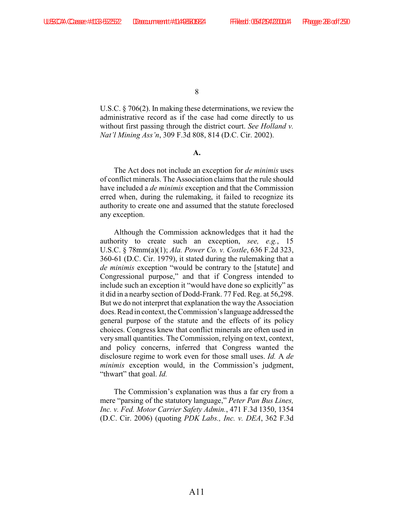U.S.C. § 706(2). In making these determinations, we review the administrative record as if the case had come directly to us without first passing through the district court. *See Holland v. Nat'l Mining Ass'n*, 309 F.3d 808, 814 (D.C. Cir. 2002).

**A.**

The Act does not include an exception for *de minimis* uses of conflict minerals. The Association claims that the rule should have included a *de minimis* exception and that the Commission erred when, during the rulemaking, it failed to recognize its authority to create one and assumed that the statute foreclosed any exception.

Although the Commission acknowledges that it had the authority to create such an exception, *see, e.g.*, 15 U.S.C. § 78mm(a)(1); *Ala. Power Co. v. Costle*, 636 F.2d 323, 360-61 (D.C. Cir. 1979), it stated during the rulemaking that a *de minimis* exception "would be contrary to the [statute] and Congressional purpose," and that if Congress intended to include such an exception it "would have done so explicitly" as it did in a nearby section of Dodd-Frank. 77 Fed. Reg. at 56,298. But we do not interpret that explanation the way the Association does. Read in context, the Commission's language addressed the general purpose of the statute and the effects of its policy choices. Congress knew that conflict minerals are often used in very small quantities. The Commission, relying on text, context, and policy concerns, inferred that Congress wanted the disclosure regime to work even for those small uses. *Id.* A *de minimis* exception would, in the Commission's judgment, "thwart" that goal. *Id.*

The Commission's explanation was thus a far cry from a mere "parsing of the statutory language," *Peter Pan Bus Lines, Inc. v. Fed. Motor Carrier Safety Admin.*, 471 F.3d 1350, 1354 (D.C. Cir. 2006) (quoting *PDK Labs., Inc. v. DEA*, 362 F.3d

8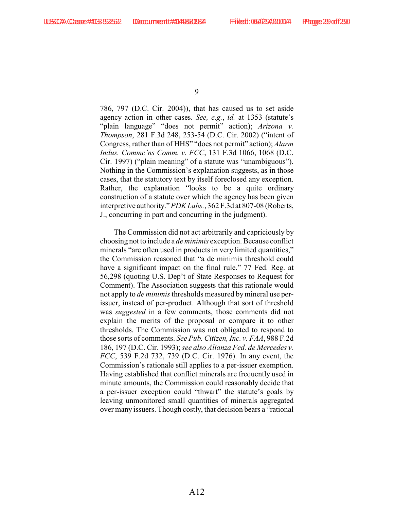786, 797 (D.C. Cir. 2004)), that has caused us to set aside agency action in other cases. *See, e.g.*, *id.* at 1353 (statute's "plain language" "does not permit" action); *Arizona v. Thompson*, 281 F.3d 248, 253-54 (D.C. Cir. 2002) ("intent of Congress, rather than of HHS" "does not permit" action); *Alarm Indus. Commc'ns Comm. v. FCC*, 131 F.3d 1066, 1068 (D.C. Cir. 1997) ("plain meaning" of a statute was "unambiguous"). Nothing in the Commission's explanation suggests, as in those cases, that the statutory text by itself foreclosed any exception. Rather, the explanation "looks to be a quite ordinary construction of a statute over which the agency has been given interpretive authority." *PDK Labs.*, 362 F.3d at 807-08 (Roberts, J., concurring in part and concurring in the judgment).

The Commission did not act arbitrarily and capriciously by choosing not to include a *de minimis* exception. Because conflict minerals "are often used in products in very limited quantities," the Commission reasoned that "a de minimis threshold could have a significant impact on the final rule." 77 Fed. Reg. at 56,298 (quoting U.S. Dep't of State Responses to Request for Comment). The Association suggests that this rationale would not apply to *de minimis* thresholds measured by mineral use perissuer, instead of per-product. Although that sort of threshold was *suggested* in a few comments, those comments did not explain the merits of the proposal or compare it to other thresholds. The Commission was not obligated to respond to those sorts of comments. *See Pub. Citizen, Inc. v. FAA*, 988 F.2d 186, 197 (D.C. Cir. 1993); *see also Alianza Fed. de Mercedes v. FCC*, 539 F.2d 732, 739 (D.C. Cir. 1976). In any event, the Commission's rationale still applies to a per-issuer exemption. Having established that conflict minerals are frequently used in minute amounts, the Commission could reasonably decide that a per-issuer exception could "thwart" the statute's goals by leaving unmonitored small quantities of minerals aggregated over many issuers. Though costly, that decision bears a "rational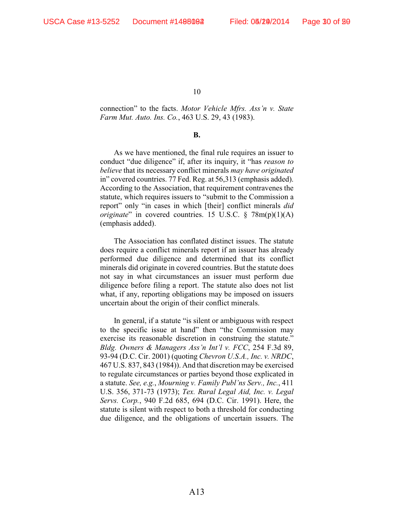connection" to the facts. *Motor Vehicle Mfrs. Ass'n v. State Farm Mut. Auto. Ins. Co.*, 463 U.S. 29, 43 (1983).

#### **B.**

As we have mentioned, the final rule requires an issuer to conduct "due diligence" if, after its inquiry, it "has *reason to believe* that its necessary conflict minerals *may have originated* in" covered countries. 77 Fed. Reg. at 56,313 (emphasis added). According to the Association, that requirement contravenes the statute, which requires issuers to "submit to the Commission a report" only "in cases in which [their] conflict minerals *did originate*" in covered countries. 15 U.S.C. § 78m(p)(1)(A) (emphasis added).

The Association has conflated distinct issues. The statute does require a conflict minerals report if an issuer has already performed due diligence and determined that its conflict minerals did originate in covered countries. But the statute does not say in what circumstances an issuer must perform due diligence before filing a report. The statute also does not list what, if any, reporting obligations may be imposed on issuers uncertain about the origin of their conflict minerals.

In general, if a statute "is silent or ambiguous with respect to the specific issue at hand" then "the Commission may exercise its reasonable discretion in construing the statute." *Bldg. Owners & Managers Ass'n Int'l v. FCC*, 254 F.3d 89, 93-94 (D.C. Cir. 2001) (quoting *Chevron U.S.A., Inc. v. NRDC*, 467 U.S. 837, 843 (1984)). And that discretion may be exercised to regulate circumstances or parties beyond those explicated in a statute. *See, e.g.*, *Mourning v. Family Publ'ns Serv., Inc.*, 411 U.S. 356, 371-73 (1973); *Tex. Rural Legal Aid, Inc. v. Legal Servs. Corp.*, 940 F.2d 685, 694 (D.C. Cir. 1991). Here, the statute is silent with respect to both a threshold for conducting due diligence, and the obligations of uncertain issuers. The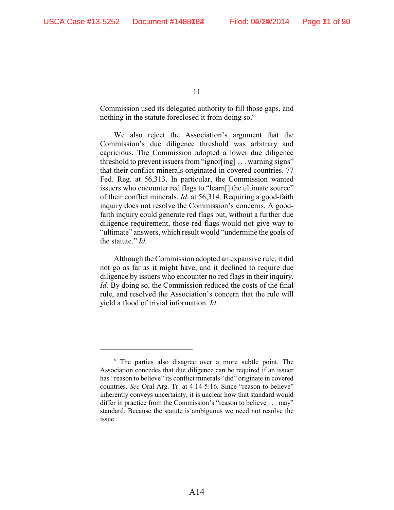Commission used its delegated authority to fill those gaps, and nothing in the statute foreclosed it from doing so.<sup>6</sup>

We also reject the Association's argument that the Commission's due diligence threshold was arbitrary and capricious. The Commission adopted a lower due diligence threshold to prevent issuers from "ignor[ing] . . . warning signs" that their conflict minerals originated in covered countries. 77 Fed. Reg. at 56,313. In particular, the Commission wanted issuers who encounter red flags to "learn[] the ultimate source" of their conflict minerals. *Id*. at 56,314. Requiring a good-faith inquiry does not resolve the Commission's concerns. A goodfaith inquiry could generate red flags but, without a further due diligence requirement, those red flags would not give way to "ultimate" answers, which result would "undermine the goals of the statute." *Id.*

Although the Commission adopted an expansive rule, it did not go as far as it might have, and it declined to require due diligence by issuers who encounter no red flags in their inquiry. *Id.* By doing so, the Commission reduced the costs of the final rule, and resolved the Association's concern that the rule will yield a flood of trivial information. *Id.*

 $6$  The parties also disagree over a more subtle point. The Association concedes that due diligence can be required if an issuer has "reason to believe" its conflict minerals "did" originate in covered countries. *See* Oral Arg. Tr. at 4:14-5:16. Since "reason to believe" inherently conveys uncertainty, it is unclear how that standard would differ in practice from the Commission's "reason to believe . . . may" standard. Because the statute is ambiguous we need not resolve the issue.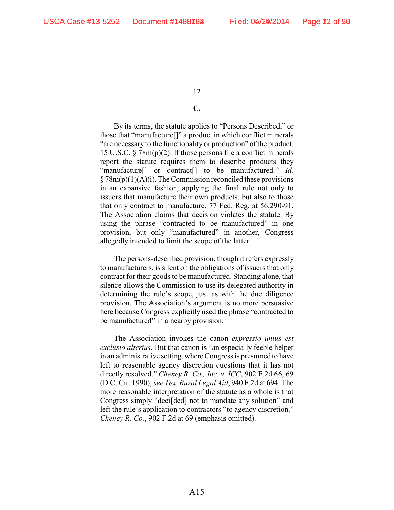#### **C.**

By its terms, the statute applies to "Persons Described," or those that "manufacture[]" a product in which conflict minerals "are necessary to the functionality or production" of the product. 15 U.S.C. § 78m(p)(2). If those persons file a conflict minerals report the statute requires them to describe products they "manufacture[] or contract[] to be manufactured." *Id.*  $\S 78m(p)(1)(A)(i)$ . The Commission reconciled these provisions in an expansive fashion, applying the final rule not only to issuers that manufacture their own products, but also to those that only contract to manufacture. 77 Fed. Reg. at 56,290-91. The Association claims that decision violates the statute. By using the phrase "contracted to be manufactured" in one provision, but only "manufactured" in another, Congress allegedly intended to limit the scope of the latter.

The persons-described provision, though it refers expressly to manufacturers, is silent on the obligations of issuers that only contract for their goods to be manufactured. Standing alone, that silence allows the Commission to use its delegated authority in determining the rule's scope, just as with the due diligence provision. The Association's argument is no more persuasive here because Congress explicitly used the phrase "contracted to be manufactured" in a nearby provision.

The Association invokes the canon *expressio unius est exclusio alterius*. But that canon is "an especially feeble helper in an administrative setting, where Congress is presumed to have left to reasonable agency discretion questions that it has not directly resolved." *Cheney R. Co., Inc. v. ICC*, 902 F.2d 66, 69 (D.C. Cir. 1990); *see Tex. Rural Legal Aid*, 940 F.2d at 694. The more reasonable interpretation of the statute as a whole is that Congress simply "deci[ded] not to mandate any solution" and left the rule's application to contractors "to agency discretion." *Cheney R. Co.*, 902 F.2d at 69 (emphasis omitted).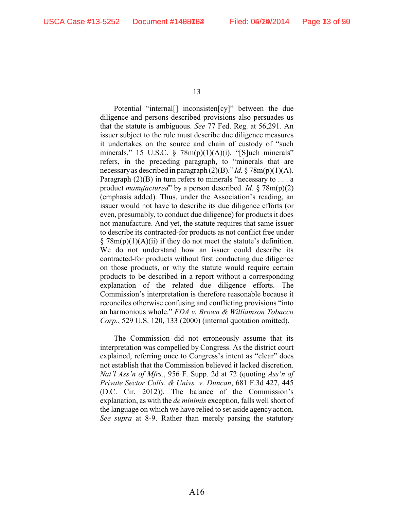Potential "internal[] inconsisten[cy]" between the due diligence and persons-described provisions also persuades us that the statute is ambiguous. *See* 77 Fed. Reg. at 56,291. An issuer subject to the rule must describe due diligence measures it undertakes on the source and chain of custody of "such minerals." 15 U.S.C.  $\S$  78m(p)(1)(A)(i). "[S]uch minerals" refers, in the preceding paragraph, to "minerals that are necessary as described in paragraph (2)(B)." *Id.* § 78m(p)(1)(A). Paragraph  $(2)(B)$  in turn refers to minerals "necessary to . . . a product *manufactured*" by a person described. *Id.* § 78m(p)(2) (emphasis added). Thus, under the Association's reading, an issuer would not have to describe its due diligence efforts (or even, presumably, to conduct due diligence) for products it does not manufacture. And yet, the statute requires that same issuer to describe its contracted-for products as not conflict free under  $\S 78m(p)(1)(A)(ii)$  if they do not meet the statute's definition. We do not understand how an issuer could describe its contracted-for products without first conducting due diligence on those products, or why the statute would require certain products to be described in a report without a corresponding explanation of the related due diligence efforts. The Commission's interpretation is therefore reasonable because it reconciles otherwise confusing and conflicting provisions "into an harmonious whole." *FDA v. Brown & Williamson Tobacco Corp.*, 529 U.S. 120, 133 (2000) (internal quotation omitted).

The Commission did not erroneously assume that its interpretation was compelled by Congress. As the district court explained, referring once to Congress's intent as "clear" does not establish that the Commission believed it lacked discretion. *Nat'l Ass'n of Mfrs.*, 956 F. Supp. 2d at 72 (quoting *Ass'n of Private Sector Colls. & Univs. v. Duncan*, 681 F.3d 427, 445 (D.C. Cir. 2012)). The balance of the Commission's explanation, as with the *de minimis* exception, falls well short of the language on which we have relied to set aside agency action. *See supra* at 8-9. Rather than merely parsing the statutory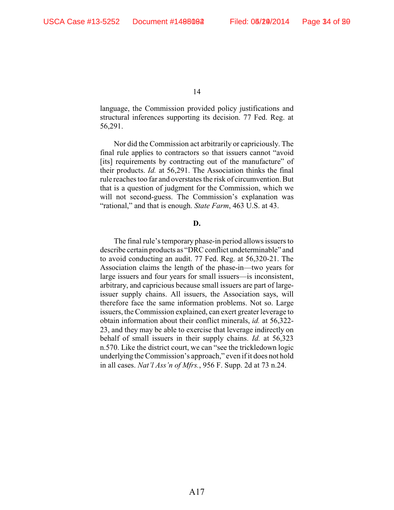language, the Commission provided policy justifications and structural inferences supporting its decision. 77 Fed. Reg. at 56,291.

Nor did the Commission act arbitrarily or capriciously. The final rule applies to contractors so that issuers cannot "avoid [its] requirements by contracting out of the manufacture" of their products. *Id.* at 56,291. The Association thinks the final rule reaches too far and overstates the risk of circumvention. But that is a question of judgment for the Commission, which we will not second-guess. The Commission's explanation was "rational," and that is enough. *State Farm*, 463 U.S. at 43.

#### **D.**

The final rule's temporary phase-in period allows issuers to describe certain products as "DRC conflict undeterminable" and to avoid conducting an audit. 77 Fed. Reg. at 56,320-21. The Association claims the length of the phase-in—two years for large issuers and four years for small issuers—is inconsistent, arbitrary, and capricious because small issuers are part of largeissuer supply chains. All issuers, the Association says, will therefore face the same information problems. Not so. Large issuers, the Commission explained, can exert greater leverage to obtain information about their conflict minerals, *id.* at 56,322- 23, and they may be able to exercise that leverage indirectly on behalf of small issuers in their supply chains. *Id.* at 56,323 n.570. Like the district court, we can "see the trickledown logic underlying the Commission's approach," even if it does not hold in all cases. *Nat'l Ass'n of Mfrs.*, 956 F. Supp. 2d at 73 n.24.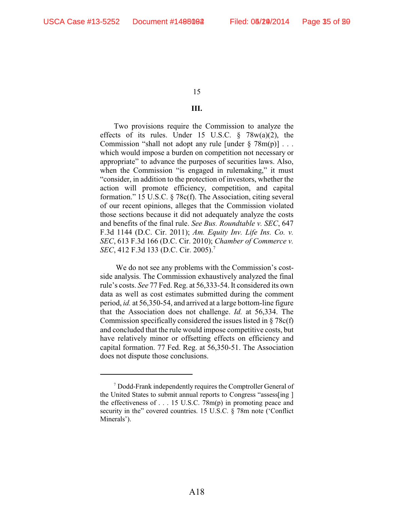#### **III.**

Two provisions require the Commission to analyze the effects of its rules. Under 15 U.S.C.  $\frac{8}{9}$  78w(a)(2), the Commission "shall not adopt any rule [under  $\S 78m(p)$ ]... which would impose a burden on competition not necessary or appropriate" to advance the purposes of securities laws. Also, when the Commission "is engaged in rulemaking," it must "consider, in addition to the protection of investors, whether the action will promote efficiency, competition, and capital formation." 15 U.S.C. § 78c(f). The Association, citing several of our recent opinions, alleges that the Commission violated those sections because it did not adequately analyze the costs and benefits of the final rule. *See Bus. Roundtable v. SEC*, 647 F.3d 1144 (D.C. Cir. 2011); *Am. Equity Inv. Life Ins. Co. v. SEC*, 613 F.3d 166 (D.C. Cir. 2010); *Chamber of Commerce v. SEC*, 412 F.3d 133 (D.C. Cir. 2005).<sup>7</sup>

 We do not see any problems with the Commission's costside analysis. The Commission exhaustively analyzed the final rule's costs. *See* 77 Fed. Reg. at 56,333-54. It considered its own data as well as cost estimates submitted during the comment period, *id.* at 56,350-54, and arrived at a large bottom-line figure that the Association does not challenge. *Id.* at 56,334. The Commission specifically considered the issues listed in § 78c(f) and concluded that the rule would impose competitive costs, but have relatively minor or offsetting effects on efficiency and capital formation. 77 Fed. Reg. at 56,350-51. The Association does not dispute those conclusions.

 $\alpha$ <sup>7</sup> Dodd-Frank independently requires the Comptroller General of the United States to submit annual reports to Congress "assess[ing ] the effectiveness of . . . 15 U.S.C. 78m(p) in promoting peace and security in the" covered countries. 15 U.S.C. § 78m note ('Conflict Minerals').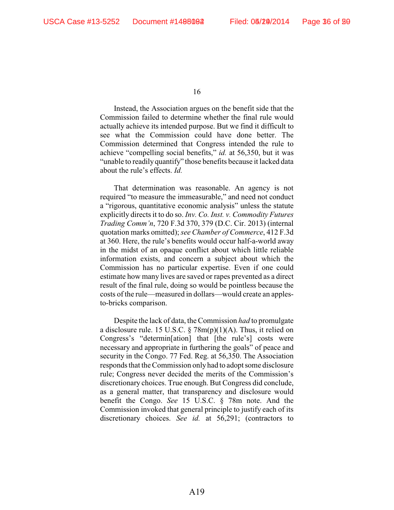Instead, the Association argues on the benefit side that the Commission failed to determine whether the final rule would actually achieve its intended purpose. But we find it difficult to see what the Commission could have done better. The Commission determined that Congress intended the rule to achieve "compelling social benefits," *id.* at 56,350, but it was "unable to readily quantify" those benefits because it lacked data about the rule's effects. *Id.*

That determination was reasonable. An agency is not required "to measure the immeasurable," and need not conduct a "rigorous, quantitative economic analysis" unless the statute explicitly directs it to do so. *Inv. Co. Inst. v. Commodity Futures Trading Comm'n*, 720 F.3d 370, 379 (D.C. Cir. 2013) (internal quotation marks omitted); *see Chamber of Commerce*, 412 F.3d at 360. Here, the rule's benefits would occur half-a-world away in the midst of an opaque conflict about which little reliable information exists, and concern a subject about which the Commission has no particular expertise. Even if one could estimate how many lives are saved or rapes prevented as a direct result of the final rule, doing so would be pointless because the costs of the rule—measured in dollars—would create an applesto-bricks comparison.

Despite the lack of data, the Commission *had* to promulgate a disclosure rule. 15 U.S.C. § 78m(p)(1)(A). Thus, it relied on Congress's "determin[ation] that [the rule's] costs were necessary and appropriate in furthering the goals" of peace and security in the Congo. 77 Fed. Reg. at 56,350. The Association responds that the Commission only had to adopt some disclosure rule; Congress never decided the merits of the Commission's discretionary choices. True enough. But Congress did conclude, as a general matter, that transparency and disclosure would benefit the Congo. *See* 15 U.S.C. § 78m note. And the Commission invoked that general principle to justify each of its discretionary choices. *See id.* at 56,291; (contractors to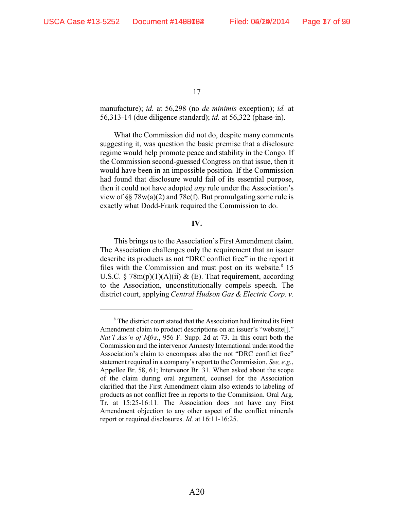manufacture); *id.* at 56,298 (no *de minimis* exception); *id.* at 56,313-14 (due diligence standard); *id.* at 56,322 (phase-in).

What the Commission did not do, despite many comments suggesting it, was question the basic premise that a disclosure regime would help promote peace and stability in the Congo. If the Commission second-guessed Congress on that issue, then it would have been in an impossible position. If the Commission had found that disclosure would fail of its essential purpose, then it could not have adopted *any* rule under the Association's view of  $\S$ § 78 $w$ (a)(2) and 78 $c$ (f). But promulgating some rule is exactly what Dodd-Frank required the Commission to do.

#### **IV.**

This brings us to the Association's First Amendment claim. The Association challenges only the requirement that an issuer describe its products as not "DRC conflict free" in the report it files with the Commission and must post on its website. $8\,15$ U.S.C.  $\S 78m(p)(1)(A)(ii) \& (E)$ . That requirement, according to the Association, unconstitutionally compels speech. The district court, applying *Central Hudson Gas & Electric Corp. v.*

<sup>&</sup>lt;sup>8</sup> The district court stated that the Association had limited its First Amendment claim to product descriptions on an issuer's "website[]." *Nat'l Ass'n of Mfrs.*, 956 F. Supp. 2d at 73. In this court both the Commission and the intervenor Amnesty International understood the Association's claim to encompass also the not "DRC conflict free" statement required in a company's report to the Commission. *See, e.g.*, Appellee Br. 58, 61; Intervenor Br. 31. When asked about the scope of the claim during oral argument, counsel for the Association clarified that the First Amendment claim also extends to labeling of products as not conflict free in reports to the Commission. Oral Arg. Tr. at 15:25-16:11. The Association does not have any First Amendment objection to any other aspect of the conflict minerals report or required disclosures. *Id.* at 16:11-16:25.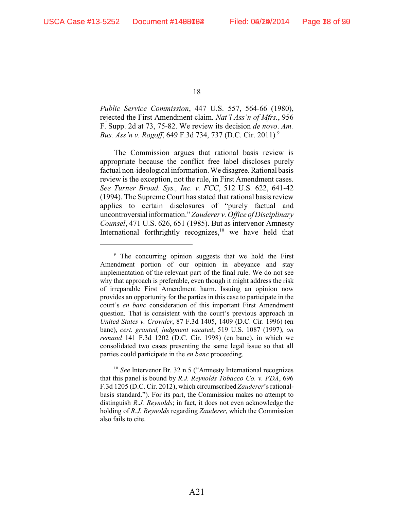*Public Service Commission*, 447 U.S. 557, 564-66 (1980), rejected the First Amendment claim. *Nat'l Ass'n of Mfrs.*, 956 F. Supp. 2d at 73, 75-82. We review its decision *de novo*. *Am. Bus. Ass'n v. Rogoff*, 649 F.3d 734, 737 (D.C. Cir. 2011)*.*  9

The Commission argues that rational basis review is appropriate because the conflict free label discloses purely factual non-ideological information. We disagree. Rational basis review is the exception, not the rule, in First Amendment cases. *See Turner Broad. Sys., Inc. v. FCC*, 512 U.S. 622, 641-42 (1994). The Supreme Court has stated that rational basis review applies to certain disclosures of "purely factual and uncontroversial information." *Zauderer v. Office of Disciplinary Counsel*, 471 U.S. 626, 651 (1985). But as intervenor Amnesty International forthrightly recognizes, $10$  we have held that

<sup>10</sup> See Intervenor Br. 32 n.5 ("Amnesty International recognizes that this panel is bound by *R.J. Reynolds Tobacco Co. v. FDA*, 696 F.3d 1205 (D.C. Cir. 2012), which circumscribed *Zauderer*'s rationalbasis standard."). For its part, the Commission makes no attempt to distinguish *R.J. Reynolds*; in fact, it does not even acknowledge the holding of *R.J. Reynolds* regarding *Zauderer*, which the Commission also fails to cite.

<sup>&</sup>lt;sup>9</sup> The concurring opinion suggests that we hold the First Amendment portion of our opinion in abeyance and stay implementation of the relevant part of the final rule. We do not see why that approach is preferable, even though it might address the risk of irreparable First Amendment harm. Issuing an opinion now provides an opportunity for the parties in this case to participate in the court's *en banc* consideration of this important First Amendment question. That is consistent with the court's previous approach in *United States v. Crowder*, 87 F.3d 1405, 1409 (D.C. Cir. 1996) (en banc), *cert. granted, judgment vacated*, 519 U.S. 1087 (1997), *on remand* 141 F.3d 1202 (D.C. Cir. 1998) (en banc), in which we consolidated two cases presenting the same legal issue so that all parties could participate in the *en banc* proceeding.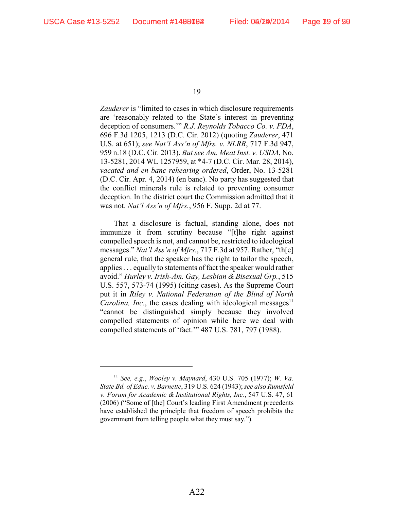*Zauderer* is "limited to cases in which disclosure requirements are 'reasonably related to the State's interest in preventing deception of consumers.'" *R.J. Reynolds Tobacco Co. v. FDA*, 696 F.3d 1205, 1213 (D.C. Cir. 2012) (quoting *Zauderer*, 471 U.S. at 651); *see Nat'l Ass'n of Mfrs. v. NLRB*, 717 F.3d 947, 959 n.18 (D.C. Cir. 2013). *But see Am. Meat Inst. v. USDA*, No. 13-5281, 2014 WL 1257959, at \*4-7 (D.C. Cir. Mar. 28, 2014), *vacated and en banc rehearing ordered*, Order, No. 13-5281 (D.C. Cir. Apr. 4, 2014) (en banc). No party has suggested that the conflict minerals rule is related to preventing consumer deception. In the district court the Commission admitted that it was not. *Nat'l Ass'n of Mfrs.*, 956 F. Supp. 2d at 77.

That a disclosure is factual, standing alone, does not immunize it from scrutiny because "[t]he right against compelled speech is not, and cannot be, restricted to ideological messages." *Nat'l Ass'n of Mfrs.*, 717 F.3d at 957. Rather, "th[e] general rule, that the speaker has the right to tailor the speech, applies . . . equally to statements of fact the speaker would rather avoid." *Hurley v. Irish-Am. Gay, Lesbian & Bisexual Grp.*, 515 U.S. 557, 573-74 (1995) (citing cases). As the Supreme Court put it in *Riley v. National Federation of the Blind of North Carolina, Inc.*, the cases dealing with ideological messages $11$ "cannot be distinguished simply because they involved compelled statements of opinion while here we deal with compelled statements of 'fact.'" 487 U.S. 781, 797 (1988).

*See, e.g.*, *Wooley v. Maynard*, 430 U.S. 705 (1977); *W. Va.* <sup>11</sup> *State Bd. of Educ. v. Barnette*, 319 U.S. 624 (1943); *see also Rumsfeld v. Forum for Academic & Institutional Rights, Inc.*, 547 U.S. 47, 61 (2006) ("Some of [the] Court's leading First Amendment precedents have established the principle that freedom of speech prohibits the government from telling people what they must say.").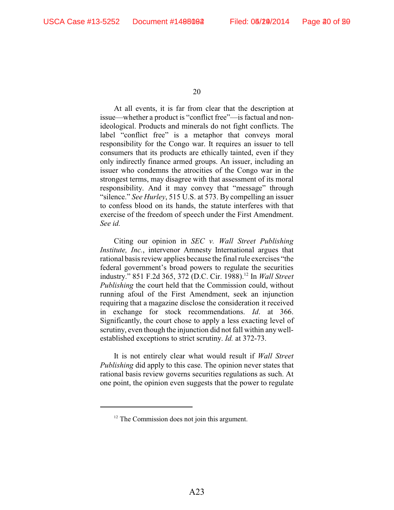At all events, it is far from clear that the description at issue—whether a product is "conflict free"—is factual and nonideological. Products and minerals do not fight conflicts. The label "conflict free" is a metaphor that conveys moral responsibility for the Congo war. It requires an issuer to tell consumers that its products are ethically tainted, even if they only indirectly finance armed groups. An issuer, including an issuer who condemns the atrocities of the Congo war in the strongest terms, may disagree with that assessment of its moral responsibility. And it may convey that "message" through "silence." *See Hurley*, 515 U.S. at 573. By compelling an issuer to confess blood on its hands, the statute interferes with that exercise of the freedom of speech under the First Amendment. *See id.* 

Citing our opinion in *SEC v. Wall Street Publishing Institute, Inc.*, intervenor Amnesty International argues that rational basis review applies because the final rule exercises "the federal government's broad powers to regulate the securities industry." 851 F.2d 365, 372 (D.C. Cir. 1988).<sup>12</sup> In *Wall Street Publishing* the court held that the Commission could, without running afoul of the First Amendment, seek an injunction requiring that a magazine disclose the consideration it received in exchange for stock recommendations. *Id*. at 366. Significantly, the court chose to apply a less exacting level of scrutiny, even though the injunction did not fall within any wellestablished exceptions to strict scrutiny. *Id.* at 372-73.

It is not entirely clear what would result if *Wall Street Publishing* did apply to this case. The opinion never states that rational basis review governs securities regulations as such. At one point, the opinion even suggests that the power to regulate

 $12$  The Commission does not join this argument.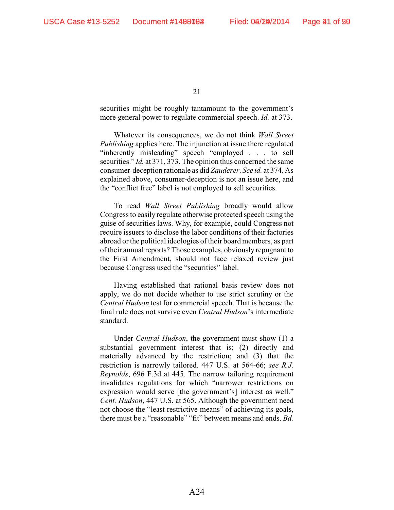securities might be roughly tantamount to the government's more general power to regulate commercial speech. *Id.* at 373.

Whatever its consequences, we do not think *Wall Street Publishing* applies here. The injunction at issue there regulated "inherently misleading" speech "employed . . . to sell securities." *Id.* at 371, 373. The opinion thus concerned the same consumer-deception rationale as did *Zauderer*. *See id.* at 374. As explained above, consumer-deception is not an issue here, and the "conflict free" label is not employed to sell securities.

To read *Wall Street Publishing* broadly would allow Congress to easily regulate otherwise protected speech using the guise of securities laws. Why, for example, could Congress not require issuers to disclose the labor conditions of their factories abroad or the political ideologies of their board members, as part of their annual reports? Those examples, obviously repugnant to the First Amendment, should not face relaxed review just because Congress used the "securities" label.

Having established that rational basis review does not apply, we do not decide whether to use strict scrutiny or the *Central Hudson* test for commercial speech. That is because the final rule does not survive even *Central Hudson*'s intermediate standard.

Under *Central Hudson*, the government must show (1) a substantial government interest that is; (2) directly and materially advanced by the restriction; and (3) that the restriction is narrowly tailored. 447 U.S. at 564-66; *see R.J. Reynolds*, 696 F.3d at 445. The narrow tailoring requirement invalidates regulations for which "narrower restrictions on expression would serve [the government's] interest as well." *Cent. Hudson*, 447 U.S. at 565. Although the government need not choose the "least restrictive means" of achieving its goals, there must be a "reasonable" "fit" between means and ends. *Bd.*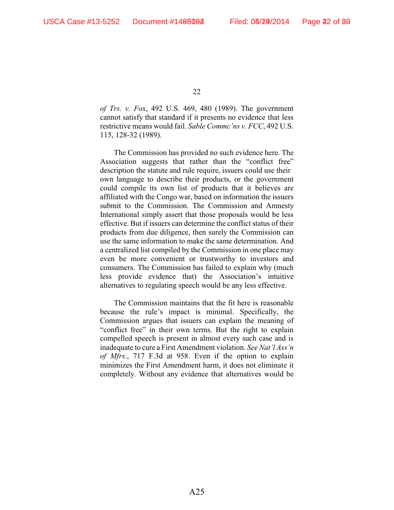*of Trs. v. Fox*, 492 U.S. 469, 480 (1989). The government cannot satisfy that standard if it presents no evidence that less restrictive means would fail. *Sable Commc'ns v. FCC*, 492 U.S. 115, 128-32 (1989).

The Commission has provided no such evidence here. The Association suggests that rather than the "conflict free" description the statute and rule require, issuers could use their own language to describe their products, or the government could compile its own list of products that it believes are affiliated with the Congo war, based on information the issuers submit to the Commission. The Commission and Amnesty International simply assert that those proposals would be less effective. But if issuers can determine the conflict status of their products from due diligence, then surely the Commission can use the same information to make the same determination. And a centralized list compiled by the Commission in one place may even be more convenient or trustworthy to investors and consumers. The Commission has failed to explain why (much less provide evidence that) the Association's intuitive alternatives to regulating speech would be any less effective.

The Commission maintains that the fit here is reasonable because the rule's impact is minimal. Specifically, the Commission argues that issuers can explain the meaning of "conflict free" in their own terms. But the right to explain compelled speech is present in almost every such case and is inadequate to cure a First Amendment violation. *See Nat'l Ass'n of Mfrs.*, 717 F.3d at 958. Even if the option to explain minimizes the First Amendment harm, it does not eliminate it completely. Without any evidence that alternatives would be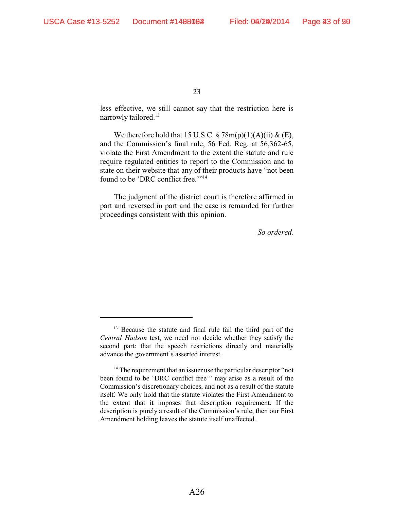less effective, we still cannot say that the restriction here is narrowly tailored.<sup>13</sup>

We therefore hold that 15 U.S.C.  $\S 78m(p)(1)(A)(ii) \& (E)$ , and the Commission's final rule, 56 Fed. Reg. at 56,362-65, violate the First Amendment to the extent the statute and rule require regulated entities to report to the Commission and to state on their website that any of their products have "not been found to be 'DRC conflict free."<sup>14</sup>

The judgment of the district court is therefore affirmed in part and reversed in part and the case is remanded for further proceedings consistent with this opinion.

*So ordered.*

 $13$  Because the statute and final rule fail the third part of the *Central Hudson* test, we need not decide whether they satisfy the second part: that the speech restrictions directly and materially advance the government's asserted interest.

 $14$ <sup>14</sup> The requirement that an issuer use the particular descriptor "not been found to be 'DRC conflict free'" may arise as a result of the Commission's discretionary choices, and not as a result of the statute itself. We only hold that the statute violates the First Amendment to the extent that it imposes that description requirement. If the description is purely a result of the Commission's rule, then our First Amendment holding leaves the statute itself unaffected.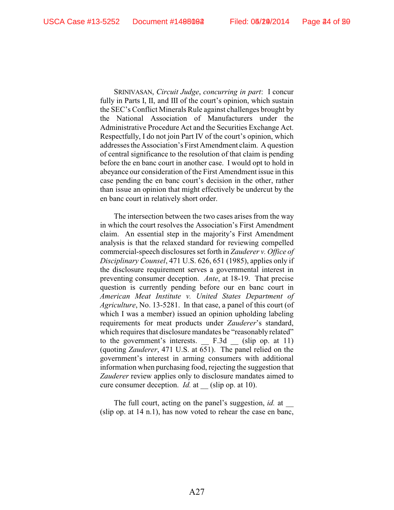SRINIVASAN, *Circuit Judge*, *concurring in part*: I concur fully in Parts I, II, and III of the court's opinion, which sustain the SEC's Conflict Minerals Rule against challenges brought by the National Association of Manufacturers under the Administrative Procedure Act and the Securities Exchange Act. Respectfully, I do not join Part IV of the court's opinion, which addresses the Association's First Amendment claim. A question of central significance to the resolution of that claim is pending before the en banc court in another case. I would opt to hold in abeyance our consideration of the First Amendment issue in this case pending the en banc court's decision in the other, rather than issue an opinion that might effectively be undercut by the en banc court in relatively short order.

The intersection between the two cases arises from the way in which the court resolves the Association's First Amendment claim. An essential step in the majority's First Amendment analysis is that the relaxed standard for reviewing compelled commercial-speech disclosures set forth in *Zauderer v. Office of Disciplinary Counsel*, 471 U.S. 626, 651 (1985), applies only if the disclosure requirement serves a governmental interest in preventing consumer deception. *Ante*, at 18-19. That precise question is currently pending before our en banc court in *American Meat Institute v. United States Department of Agriculture*, No. 13-5281. In that case, a panel of this court (of which I was a member) issued an opinion upholding labeling requirements for meat products under *Zauderer*'s standard, which requires that disclosure mandates be "reasonably related" to the government's interests.  $\quad$  F.3d  $\quad$  (slip op. at 11) (quoting *Zauderer*, 471 U.S. at 651). The panel relied on the government's interest in arming consumers with additional information when purchasing food, rejecting the suggestion that *Zauderer* review applies only to disclosure mandates aimed to cure consumer deception. *Id.* at (slip op. at 10).

The full court, acting on the panel's suggestion, *id.* at (slip op. at 14 n.1), has now voted to rehear the case en banc,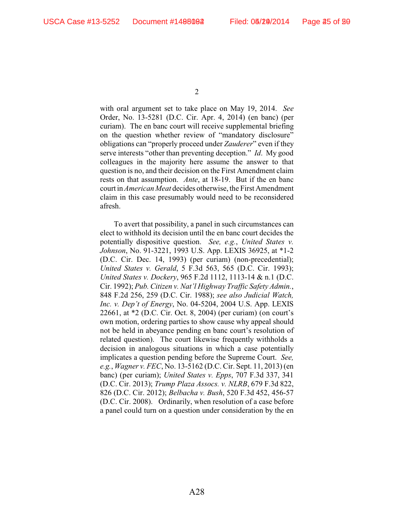with oral argument set to take place on May 19, 2014. *See* Order, No. 13-5281 (D.C. Cir. Apr. 4, 2014) (en banc) (per curiam). The en banc court will receive supplemental briefing on the question whether review of "mandatory disclosure" obligations can "properly proceed under *Zauderer*" even if they serve interests "other than preventing deception." *Id*. My good colleagues in the majority here assume the answer to that question is no, and their decision on the First Amendment claim rests on that assumption. *Ante*, at 18-19. But if the en banc court in *American Meat* decides otherwise, the First Amendment claim in this case presumably would need to be reconsidered afresh.

To avert that possibility, a panel in such circumstances can elect to withhold its decision until the en banc court decides the potentially dispositive question. *See, e.g.*, *United States v. Johnson*, No. 91-3221, 1993 U.S. App. LEXIS 36925, at \*1-2 (D.C. Cir. Dec. 14, 1993) (per curiam) (non-precedential); *United States v. Gerald*, 5 F.3d 563, 565 (D.C. Cir. 1993); *United States v. Dockery*, 965 F.2d 1112, 1113-14 & n.1 (D.C. Cir. 1992); *Pub. Citizen v. Nat'l Highway Traffic Safety Admin.*, 848 F.2d 256, 259 (D.C. Cir. 1988); *see also Judicial Watch, Inc. v. Dep't of Energy*, No. 04-5204, 2004 U.S. App. LEXIS 22661, at \*2 (D.C. Cir. Oct. 8, 2004) (per curiam) (on court's own motion, ordering parties to show cause why appeal should not be held in abeyance pending en banc court's resolution of related question). The court likewise frequently withholds a decision in analogous situations in which a case potentially implicates a question pending before the Supreme Court. *See, e.g.*, *Wagner v. FEC*, No. 13-5162 (D.C. Cir. Sept. 11, 2013) (en banc) (per curiam); *United States v. Epps*, 707 F.3d 337, 341 (D.C. Cir. 2013); *Trump Plaza Assocs. v. NLRB*, 679 F.3d 822, 826 (D.C. Cir. 2012); *Belbacha v. Bush*, 520 F.3d 452, 456-57 (D.C. Cir. 2008). Ordinarily, when resolution of a case before a panel could turn on a question under consideration by the en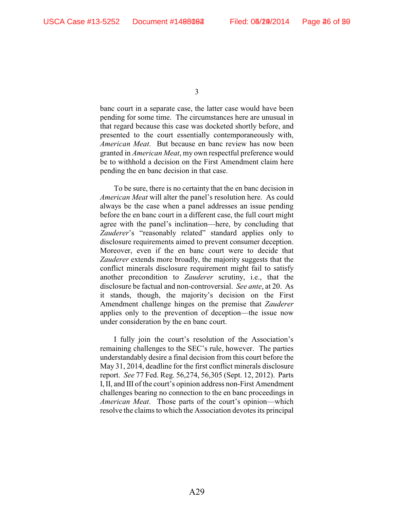banc court in a separate case, the latter case would have been pending for some time. The circumstances here are unusual in that regard because this case was docketed shortly before, and presented to the court essentially contemporaneously with, *American Meat*. But because en banc review has now been granted in *American Meat*, my own respectful preference would be to withhold a decision on the First Amendment claim here pending the en banc decision in that case.

To be sure, there is no certainty that the en banc decision in *American Meat* will alter the panel's resolution here. As could always be the case when a panel addresses an issue pending before the en banc court in a different case, the full court might agree with the panel's inclination—here, by concluding that *Zauderer*'s "reasonably related" standard applies only to disclosure requirements aimed to prevent consumer deception. Moreover, even if the en banc court were to decide that *Zauderer* extends more broadly, the majority suggests that the conflict minerals disclosure requirement might fail to satisfy another precondition to *Zauderer* scrutiny, i.e., that the disclosure be factual and non-controversial. *See ante*, at 20. As it stands, though, the majority's decision on the First Amendment challenge hinges on the premise that *Zauderer* applies only to the prevention of deception—the issue now under consideration by the en banc court.

I fully join the court's resolution of the Association's remaining challenges to the SEC's rule, however. The parties understandably desire a final decision from this court before the May 31, 2014, deadline for the first conflict minerals disclosure report. *See* 77 Fed. Reg. 56,274, 56,305 (Sept. 12, 2012). Parts I, II, and III of the court's opinion address non-First Amendment challenges bearing no connection to the en banc proceedings in *American Meat*. Those parts of the court's opinion—which resolve the claims to which the Association devotes its principal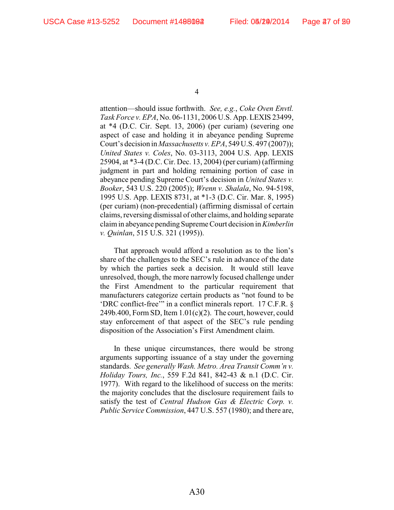attention—should issue forthwith. *See, e.g.*, *Coke Oven Envtl. Task Force v. EPA*, No. 06-1131, 2006 U.S. App. LEXIS 23499, at \*4 (D.C. Cir. Sept. 13, 2006) (per curiam) (severing one aspect of case and holding it in abeyance pending Supreme Court's decision in *Massachusetts v. EPA*, 549 U.S. 497 (2007)); *United States v. Coles*, No. 03-3113, 2004 U.S. App. LEXIS 25904, at \*3-4 (D.C. Cir. Dec. 13, 2004) (per curiam) (affirming judgment in part and holding remaining portion of case in abeyance pending Supreme Court's decision in *United States v. Booker*, 543 U.S. 220 (2005)); *Wrenn v. Shalala*, No. 94-5198, 1995 U.S. App. LEXIS 8731, at \*1-3 (D.C. Cir. Mar. 8, 1995) (per curiam) (non-precedential) (affirming dismissal of certain claims, reversing dismissal of other claims, and holding separate claim in abeyance pending Supreme Court decision in *Kimberlin v. Quinlan*, 515 U.S. 321 (1995)).

That approach would afford a resolution as to the lion's share of the challenges to the SEC's rule in advance of the date by which the parties seek a decision. It would still leave unresolved, though, the more narrowly focused challenge under the First Amendment to the particular requirement that manufacturers categorize certain products as "not found to be 'DRC conflict-free'" in a conflict minerals report. 17 C.F.R. §  $249b.400$ , Form SD, Item  $1.01(c)(2)$ . The court, however, could stay enforcement of that aspect of the SEC's rule pending disposition of the Association's First Amendment claim.

In these unique circumstances, there would be strong arguments supporting issuance of a stay under the governing standards. *See generally Wash. Metro. Area Transit Comm'n v. Holiday Tours, Inc.*, 559 F.2d 841, 842-43 & n.1 (D.C. Cir. 1977). With regard to the likelihood of success on the merits: the majority concludes that the disclosure requirement fails to satisfy the test of *Central Hudson Gas & Electric Corp. v. Public Service Commission*, 447 U.S. 557 (1980); and there are,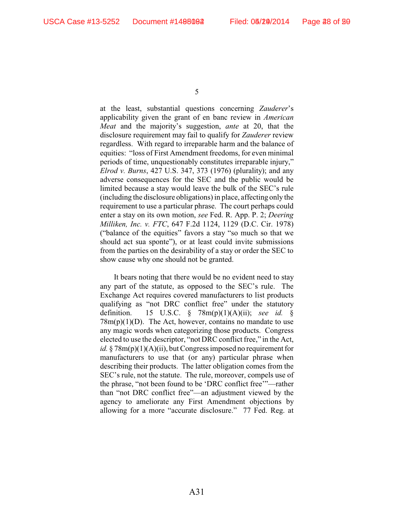at the least, substantial questions concerning *Zauderer*'s applicability given the grant of en banc review in *American Meat* and the majority's suggestion, *ante* at 20, that the disclosure requirement may fail to qualify for *Zauderer* review regardless. With regard to irreparable harm and the balance of equities: "loss of First Amendment freedoms, for even minimal periods of time, unquestionably constitutes irreparable injury," *Elrod v. Burns*, 427 U.S. 347, 373 (1976) (plurality); and any adverse consequences for the SEC and the public would be limited because a stay would leave the bulk of the SEC's rule (including the disclosure obligations) in place, affecting only the requirement to use a particular phrase. The court perhaps could enter a stay on its own motion, *see* Fed. R. App. P. 2; *Deering Milliken, Inc. v. FTC*, 647 F.2d 1124, 1129 (D.C. Cir. 1978) ("balance of the equities" favors a stay "so much so that we should act sua sponte"), or at least could invite submissions from the parties on the desirability of a stay or order the SEC to show cause why one should not be granted.

It bears noting that there would be no evident need to stay any part of the statute, as opposed to the SEC's rule. The Exchange Act requires covered manufacturers to list products qualifying as "not DRC conflict free" under the statutory definition. 15 U.S.C. § 78m(p)(1)(A)(ii); *see id.* §  $78m(p)(1)(D)$ . The Act, however, contains no mandate to use any magic words when categorizing those products. Congress elected to use the descriptor, "not DRC conflict free," in the Act, *id.* § 78m(p)(1)(A)(ii), but Congress imposed no requirement for manufacturers to use that (or any) particular phrase when describing their products. The latter obligation comes from the SEC's rule, not the statute. The rule, moreover, compels use of the phrase, "not been found to be 'DRC conflict free'"—rather than "not DRC conflict free"—an adjustment viewed by the agency to ameliorate any First Amendment objections by allowing for a more "accurate disclosure." 77 Fed. Reg. at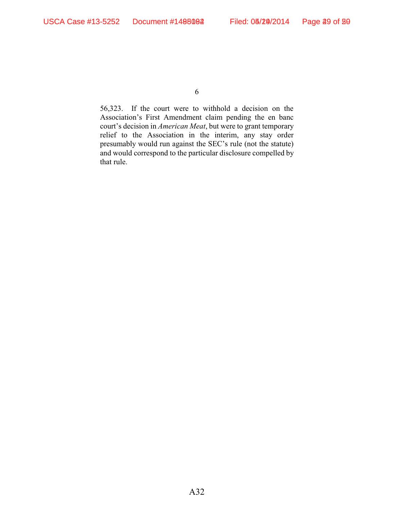56,323. If the court were to withhold a decision on the Association's First Amendment claim pending the en banc court's decision in *American Meat*, but were to grant temporary relief to the Association in the interim, any stay order presumably would run against the SEC's rule (not the statute) and would correspond to the particular disclosure compelled by that rule.